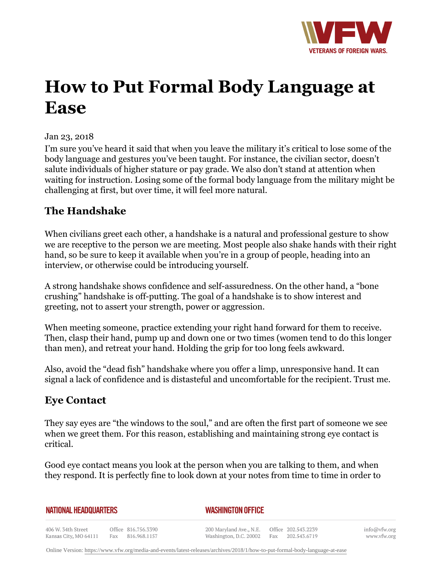

# **How to Put Formal Body Language at Ease**

#### Jan 23, 2018

I'm sure you've heard it said that when you leave the military it's critical to lose some of the body language and gestures you've been taught. For instance, the civilian sector, doesn't salute individuals of higher stature or pay grade. We also don't stand at attention when waiting for instruction. Losing some of the formal body language from the military might be challenging at first, but over time, it will feel more natural.

### **The Handshake**

When civilians greet each other, a handshake is a natural and professional gesture to show we are receptive to the person we are meeting. Most people also shake hands with their right hand, so be sure to keep it available when you're in a group of people, heading into an interview, or otherwise could be introducing yourself.

A strong handshake shows confidence and self-assuredness. On the other hand, a "bone crushing" handshake is off-putting. The goal of a handshake is to show interest and greeting, not to assert your strength, power or aggression.

When meeting someone, practice extending your right hand forward for them to receive. Then, clasp their hand, pump up and down one or two times (women tend to do this longer than men), and retreat your hand. Holding the grip for too long feels awkward.

Also, avoid the "dead fish" handshake where you offer a limp, unresponsive hand. It can signal a lack of confidence and is distasteful and uncomfortable for the recipient. Trust me.

## **Eye Contact**

They say eyes are "the windows to the soul," and are often the first part of someone we see when we greet them. For this reason, establishing and maintaining strong eye contact is critical.

Good eye contact means you look at the person when you are talking to them, and when they respond. It is perfectly fine to look down at your notes from time to time in order to

**NATIONAL HEADQUARTERS** 

#### *WASHINGTON OFFICE*

406 W. 34th Street Office 816.756.3390 Fax 816.968.1157 Kansas City, MO 64111

200 Maryland Ave., N.E. Washington, D.C. 20002 Fax 202.543.6719

Office 202.543.2239

info@vfw.org www.vfw.org

Online Version:<https://www.vfw.org/media-and-events/latest-releases/archives/2018/1/how-to-put-formal-body-language-at-ease>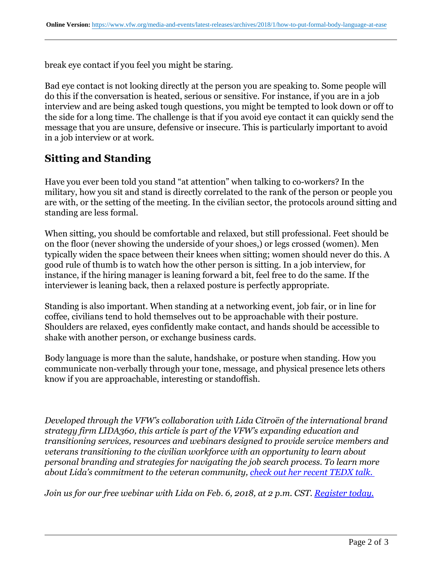break eye contact if you feel you might be staring.

Bad eye contact is not looking directly at the person you are speaking to. Some people will do this if the conversation is heated, serious or sensitive. For instance, if you are in a job interview and are being asked tough questions, you might be tempted to look down or off to the side for a long time. The challenge is that if you avoid eye contact it can quickly send the message that you are unsure, defensive or insecure. This is particularly important to avoid in a job interview or at work.

## **Sitting and Standing**

Have you ever been told you stand "at attention" when talking to co-workers? In the military, how you sit and stand is directly correlated to the rank of the person or people you are with, or the setting of the meeting. In the civilian sector, the protocols around sitting and standing are less formal.

When sitting, you should be comfortable and relaxed, but still professional. Feet should be on the floor (never showing the underside of your shoes,) or legs crossed (women). Men typically widen the space between their knees when sitting; women should never do this. A good rule of thumb is to watch how the other person is sitting. In a job interview, for instance, if the hiring manager is leaning forward a bit, feel free to do the same. If the interviewer is leaning back, then a relaxed posture is perfectly appropriate.

Standing is also important. When standing at a networking event, job fair, or in line for coffee, civilians tend to hold themselves out to be approachable with their posture. Shoulders are relaxed, eyes confidently make contact, and hands should be accessible to shake with another person, or exchange business cards.

Body language is more than the salute, handshake, or posture when standing. How you communicate non-verbally through your tone, message, and physical presence lets others know if you are approachable, interesting or standoffish.

*Developed through the VFW's collaboration with Lida Citroën of the international brand strategy firm LIDA360, this article is part of the VFW's expanding education and transitioning services, resources and webinars designed to provide service members and veterans transitioning to the civilian workforce with an opportunity to learn about personal branding and strategies for navigating the job search process. To learn more about Lida's commitment to the veteran community, [check out her recent TEDX talk.](https:http://www.youtube.com/watch?v=9BloWnsJCRw)* 

*Join us for our free webinar with Lida on Feb. 6, 2018, at 2 p.m. CST. [Register today.](https:http://docs.google.com/forms/d/e/1FAIpQLSeK3g_gtJ-XYCuVMBTdBUtHiazUUyD6kBJq25p3pc5WkjETVg/viewform)*